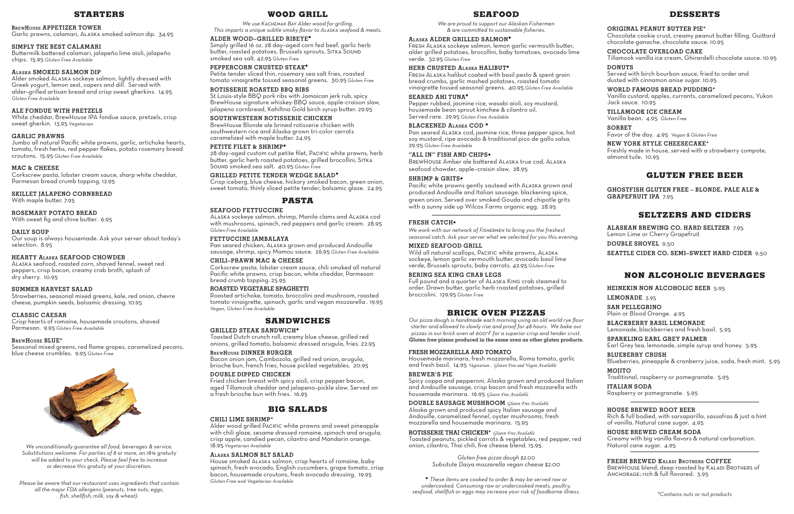## **STARTERS**

#### **BrewHouse APPETIZER TOWER**

Garlic prawns, calamari, Alaska smoked salmon dip. 34.95

## **SIMPLY THE BEST CALAMARI**

Buttermilk battered calamari, jalapeño lime aïoli, jalapeño chips. 15.95 *Gluten Free Available*

## **Alaska SMOKED SALMON DIP**

Alder smoked Alaska sockeye salmon, lightly dressed with Greek yogurt, lemon zest, capers and dill. Served with alder–grilled artisan bread and crisp sweet gherkins. 14.95 *Gluten Free Available*

## **ALE FONDUE WITH PRETZELS**

White cheddar, BrewHouse IPA fondue sauce, pretzels, crisp sweet gherkin. 13.95 *Vegetarian*

## **GARLIC PRAWNS**

Jumbo all natural Pacific white prawns, garlic, artichoke hearts, tomato, fresh herbs, red pepper flakes, potato rosemary bread croutons. 15.95 *Gluten Free Available*

## **MAC & CHEESE**

Corkscrew pasta, lobster cream sauce, sharp white cheddar, Parmesan bread crumb topping. 12.95

**SKILLET JALAPENO CORNBREAD** With maple butter. 7.95

## **ROSEMARY POTATO BREAD**

With sweet fig and chive butter. 6.95

#### **DAILY SOUP**

Our soup is always housemade. Ask your server about today's selection. 8.95

FRESH ALASKA halibut coated with basil pesto & spent grain bread crumbs, garlic mashed potatoes, roasted tomato vinaigrette tossed seasonal greens. 40.95 *Gluten Free Available*

#### **HEARTY Alaska SEAFOOD CHOWDER**

Alaska seafood, roasted corn, shaved fennel, sweet red peppers, crisp bacon, creamy crab broth, splash of dry sherry. 10.95

## **SUMMER HARVEST SALAD**

Strawberries, seasonal mixed greens, kale, red onion, chevre cheese, pumpkin seeds, balsamic dressing. 10.95

#### **CLASSIC CAESAR**

Crisp hearts of romaine, housemade croutons, shaved Parmesan. 9.95 *Gluten Free Available*

## **BrewHouse BLUE\***

Seasonal mixed greens, red flame grapes, caramelized pecans, blue cheese crumbles. 9.95 *Gluten Free* 



Wild all natural scallops, PACIFIC white prawns, ALASKA sockeye, lemon garlic vermouth butter, avocado basil lime verde, Brussels sprouts, baby carrots. 42.95 *Gluten Free*

## **SEAFOOD**

*We are proud to support our Alaskan Fishermen & are committed to sustainable fisheries.*

#### **Alaska ALDER GRILLED SALMON•**

Fresh Alaska sockeye salmon, lemon garlic vermouth butter, alder grilled potatoes, brocollini, baby tomatoes, avocado lime verde. 32.95 *Gluten Free*

## **HERB CRUSTED Alaska HALIBUT•**

## **SEARED AHI TUNA•**

Pepper rubbed, jasmine rice, wasabi aïoli, soy mustard, housemade bean sprout kimchee & cilantro oil. Served rare. 29.95 *Gluten Free Available*

## **BLACKENED Alaska COD •**

Pan seared Alaska cod, jasmine rice, three pepper spice, hot soy mustard, ripe avocado & traditional pico de gallo salsa. 29.95 *Gluten Free Available*

#### **"ALL IN" FISH AND CHIPS•**

BrewHouse Amber ale battered Alaska true cod, Alaska seafood chowder, apple–craisin slaw. 28.95

#### **SHRIMP & GRITS•**

Pacific white prawns gently sauteed with Alaska grown and produced Andouille and Italian sausage, blackening spice, green onion. Served over smoked Gouda and chipotle grits with a sunny side up Wilcox Farms organic egg. 28.95

## **FRESH CATCH•**

*We work with our network of Fishermen to bring you the freshest seasonal catch. Ask your server what we selected for you this evening.*

#### **MIXED SEAFOOD GRILL**

## **BERING SEA KING CRAB LEGS**

Full pound and a quarter of Alaska King crab steamed to order. Drawn butter, garlic herb roasted potatoes, grilled broccolini. 129.95 *Gluten Free*

## **BRICK OVEN PIZZAS**

*Our pizza dough is handmade each morning using an old world rye flour starter and allowed to slowly rise and proof for 48 hours. We bake our pizzas in our brick oven at 600°F for a superior crisp and tender crust.* **Gluten free pizzas produced in the same area as other gluten products.**

#### **FRESH MOZZARELLA AND TOMATO**

28 day-aged custom cut petite filet, PACIFIC white prawns, herb butter, garlic herb roasted potatoes, grilled brocollini, Sitka Sound smoked sea salt. 40.95 *Gluten Free*

> Housemade marinara, fresh mozzarella, Roma tomato, garlic and fresh basil. 14.95 *Vegetarian . Gluten Free and Vegan Available*

#### **BREWER'S PIE**

Spicy coppa and pepperoni, Alaska grown and produced Italian and Andouille sausage, crisp bacon and fresh mozzarella with housemade marinara. 16.95 *Gluten Free Available*

**DOUBLE SAUSAGE MUSHROOM** *Gluten Free Available* Alaska grown and produced spicy Italian sausage and Andouille, caramelized fennel, oyster mushrooms, fresh mozzarella and housemade marinara. 15.95

**ROTISSERIE THAI CHICKEN\*** *Gluten Free Available* Toasted peanuts, pickled carrots & vegetables, red pepper, red onion, cilantro, Thai chili, five cheese blend. 15.95

> *Gluten free pizza dough \$2.00 Subsitute Daiya mozzarella vegan cheese \$2.00*

**•** *These items are cooked to order & may be served raw or undercooked. Consuming raw or undercooked meats, poultry, seafood, shellfish or eggs may increase your risk of foodborne illness.*

## **DESSERTS**

## **ORIGINAL PEANUT BUTTER PIE\***

Chocolate cookie crust, creamy peanut butter filling, Guittard chocolate ganache, chocolate sauce. 10.95

## **CHOCOLATE OVERLOAD CAKE**

Tillamook vanilla ice cream, Ghirardelli chocolate sauce. 10.95 **DONUTS**

Served with birch bourbon sauce, fried to order and dusted with cinnamon anise sugar. 10.95

**WORLD FAMOUS BREAD PUDDING\*** Vanilla custard, apples, currants, caramelized pecans, Yukon Jack sauce. 10.95

## **TILLAMOOK ICE CREAM**

Vanilla bean. 4.95 *Gluten Free*

## **SORBET**

Favor of the day. 4.95 *Vegan & Gluten Free*

## **NEW YORK STYLE CHEESECAKE\***

Freshly made in house, served with a strawberry compote, almond tuile. 10.95

# **GLUTEN FREE BEER**

**GHOSTFISH GLUTEN FREE – BLONDE, PALE ALE & GRAPEFRUIT IPA** 7.95

# **SELTZERS AND CIDERS**

**ALASKAN BREWING CO. HARD SELTZER** 7.95 Lemon Lime or Cherry Grapefruit **DOUBLE SHOVEL** 9.50 **SEATTLE CIDER CO. SEMI–SWEET HARD CIDER** 9.50

# **NON ALCOHOLIC BEVERAGES**

**HEINEKIN NON ALCOHOLIC BEER** 5.95

## **LEMONADE** 3.95

**SAN PELLEGRINO** Plain or Blood Orange. 4.95

**BLACKBERRY BASIL LEMONADE** Lemonade, blackberries and fresh basil. 5.95

**SPARKLING EARL GREY PALMER** Earl Grey tea, lemonade, simple syrup and honey. 5.95

**BLUEBERRY CRUSH** Blueberries, pineapple & cranberry juice, soda, fresh mint. 5.95

## **MOJITO** Traditional, raspberry or pomegranate. 5.95

**ITALIAN SODA** Raspberry or pomegranate. 5.95

# **HOUSE BREWED ROOT BEER**

Rich & full bodied, with sarsaparilla, sassafras & just a hint of vanilla. Natural cane sugar. 4.95

#### **HOUSE BREWED CREAM SODA** Creamy with big vanilla flavors & natural carbonation. Natural cane sugar. 4.95

**FRESH BREWED Kaladi Brothers COFFEE**

BREWHOUSE blend, deep roasted by KALADI BROTHERS of ANCHORAGE; rich & full flavored. 3.95

## **WOOD GRILL**

*We use Kachemak Bay Alder wood for grilling. This imparts a unique subtle smoky flavor to Alaska seafood & meats.* 

## **ALDER WOOD–GRILLED RIBEYE•**

Simply grilled 16 oz. 28 day–aged corn fed beef, garlic herb butter, roasted potatoes, Brussels sprouts, SITKA SOUND smoked sea salt. 42.95 *Gluten Free*

## **PEPPERCORN CRUSTED STEAK•**

Petite tender sliced thin, rosemary sea salt fries, roasted tomato vinaigrette tossed seasonal greens. 30.95 *Gluten Free*

## **ROTISSERIE ROASTED BBQ RIBS**

St Louis-style BBQ pork ribs with Jamaican jerk rub, spicy BrewHouse signature whiskey-BBQ sauce, apple-craison slaw, jalapeno cornbread, Kahiltna Gold birch syrup butter. 29.95

## **SOUTHWESTERN ROTISSERIE CHICKEN**

BrewHouse Blonde ale brined rotisserie chicken with southwestern rice and Alaska grown tri-color carrots caramelized with maple butter. 24.95

## **PETITE FILET & SHRIMP•**

## **GRILLED PETITE TENDER WEDGE SALAD•**

Crisp iceberg, blue cheese, hickory smoked bacon, green onion, sweet tomato, thinly sliced petite tender, balsamic glaze. 24.95

## **PASTA**

#### **SEAFOOD FETTUCCINE**

Alaska sockeye salmon, shrimp, Manila clams and Alaska cod with mushrooms, spinach, red peppers and garlic cream. 28.95 *Gluten Free Available*

## **FETTUCCINE JAMBALAYA**

Pan seared chicken, Alaska grown and produced Andouille sausage, shrimp, spicy Mamou sauce. 26.95 *Gluten Free Available*

## **CHILI–PRAWN MAC & CHEESE**

Corkscrew pasta, lobster cream sauce, chili smoked all natural Pacific white prawns, crisp bacon, white cheddar, Parmesan bread crumb topping. 25.95

#### **ROASTED VEGETABLE SPAGHETTI**

Roasted artichoke, tomato, broccolini and mushroom, roasted tomato vinaigrette, spinach, garlic and vegan mozzarella . 19.95 *Vegan, Gluten Free Available*

## **SANDWICHES**

#### **GRILLED STEAK SANDWICH•**

Toasted Dutch crunch roll, creamy blue cheese, grilled red onions, grilled tomato, balsamic dressed arugula, fries. 22.95

## **BrewHouse DINNER BURGER**

Bacon onion jam, Cambozola, grilled red onion, arugula, brioche bun, french fries, house pickled vegetables. 20.95

## **DOUBLE DIPPED CHICKEN**

Fried chicken breast with spicy aioli, crisp pepper bacon, aged Tillamook cheddar and jalapeno–pickle slaw. Served on a fresh brioche bun with fries. 16.95

## **BIG SALADS**

#### **CHILI LIME SHRIMP\***

Alder wood grilled Pacific white prawns and sweet pineapple with chili glaze, sesame dressed romaine, spinach and arugula, crisp apple, candied pecan, cilantro and Mandarin orange. 18.95 *Vegetarian Available*

## **Alaska SALMON BLT SALAD**

House smoked Alaska salmon, crisp hearts of romaine, baby spinach, fresh avocado, English cucumbers, grape tomato, crisp bacon, housemade croutons, fresh avocado dressing. 19.95 *Gluten Free and Vegetarian Available*

*We unconditionally guarantee all food, beverages & service. Substitutions welcome. For parties of 8 or more, an 18% gratuity will be added to your check. Please feel free to increase or decrease this gratuity at your discretion.*

*Please be aware that our restaurant uses ingredients that contain all the major FDA allergens (peanuts, tree nuts, eggs, fish, shellfish, milk, soy & wheat). \*Contains nuts or nut products*